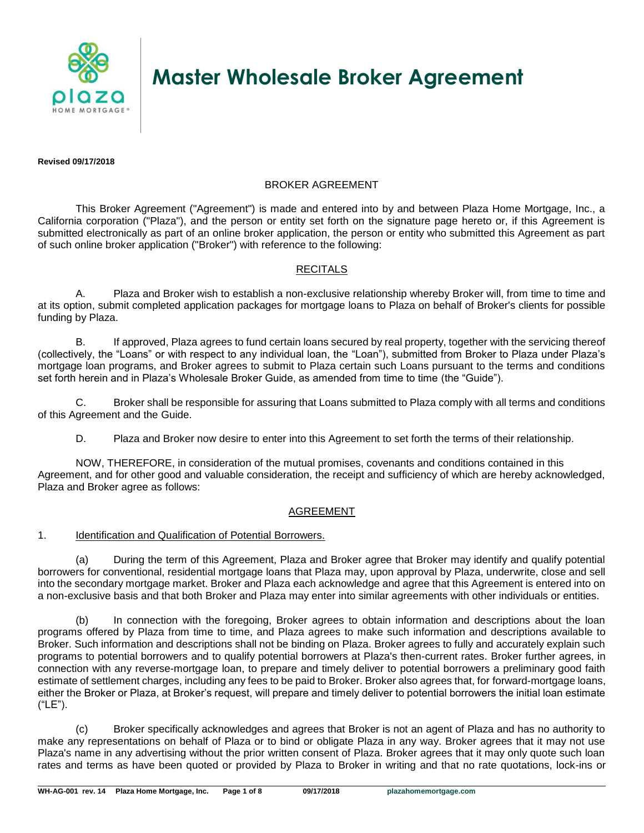

# **Master Wholesale Broker Agreement**

**Revised 09/17/2018**

# BROKER AGREEMENT

This Broker Agreement ("Agreement") is made and entered into by and between Plaza Home Mortgage, Inc., a California corporation ("Plaza"), and the person or entity set forth on the signature page hereto or, if this Agreement is submitted electronically as part of an online broker application, the person or entity who submitted this Agreement as part of such online broker application ("Broker") with reference to the following:

# RECITALS

A. Plaza and Broker wish to establish a non-exclusive relationship whereby Broker will, from time to time and at its option, submit completed application packages for mortgage loans to Plaza on behalf of Broker's clients for possible funding by Plaza.

B. If approved, Plaza agrees to fund certain loans secured by real property, together with the servicing thereof (collectively, the "Loans" or with respect to any individual loan, the "Loan"), submitted from Broker to Plaza under Plaza's mortgage loan programs, and Broker agrees to submit to Plaza certain such Loans pursuant to the terms and conditions set forth herein and in Plaza's Wholesale Broker Guide, as amended from time to time (the "Guide").

C. Broker shall be responsible for assuring that Loans submitted to Plaza comply with all terms and conditions of this Agreement and the Guide.

D. Plaza and Broker now desire to enter into this Agreement to set forth the terms of their relationship.

NOW, THEREFORE, in consideration of the mutual promises, covenants and conditions contained in this Agreement, and for other good and valuable consideration, the receipt and sufficiency of which are hereby acknowledged, Plaza and Broker agree as follows:

## AGREEMENT

## 1. Identification and Qualification of Potential Borrowers.

(a) During the term of this Agreement, Plaza and Broker agree that Broker may identify and qualify potential borrowers for conventional, residential mortgage loans that Plaza may, upon approval by Plaza, underwrite, close and sell into the secondary mortgage market. Broker and Plaza each acknowledge and agree that this Agreement is entered into on a non-exclusive basis and that both Broker and Plaza may enter into similar agreements with other individuals or entities.

(b) In connection with the foregoing, Broker agrees to obtain information and descriptions about the loan programs offered by Plaza from time to time, and Plaza agrees to make such information and descriptions available to Broker. Such information and descriptions shall not be binding on Plaza. Broker agrees to fully and accurately explain such programs to potential borrowers and to qualify potential borrowers at Plaza's then-current rates. Broker further agrees, in connection with any reverse-mortgage loan, to prepare and timely deliver to potential borrowers a preliminary good faith estimate of settlement charges, including any fees to be paid to Broker. Broker also agrees that, for forward-mortgage loans, either the Broker or Plaza, at Broker's request, will prepare and timely deliver to potential borrowers the initial loan estimate ("LE").

(c) Broker specifically acknowledges and agrees that Broker is not an agent of Plaza and has no authority to make any representations on behalf of Plaza or to bind or obligate Plaza in any way. Broker agrees that it may not use Plaza's name in any advertising without the prior written consent of Plaza. Broker agrees that it may only quote such loan rates and terms as have been quoted or provided by Plaza to Broker in writing and that no rate quotations, lock-ins or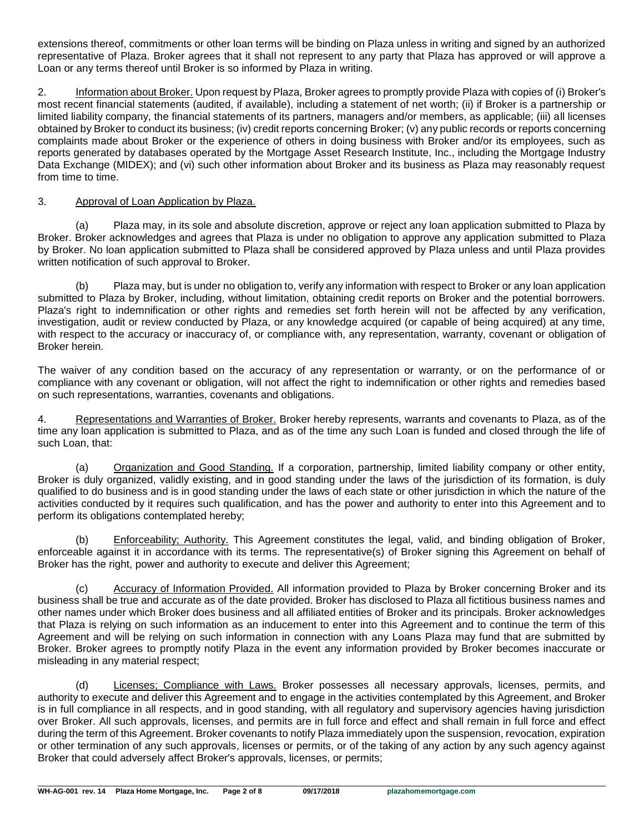extensions thereof, commitments or other loan terms will be binding on Plaza unless in writing and signed by an authorized representative of Plaza. Broker agrees that it shall not represent to any party that Plaza has approved or will approve a Loan or any terms thereof until Broker is so informed by Plaza in writing.

2. Information about Broker. Upon request by Plaza, Broker agrees to promptly provide Plaza with copies of (i) Broker's most recent financial statements (audited, if available), including a statement of net worth; (ii) if Broker is a partnership or limited liability company, the financial statements of its partners, managers and/or members, as applicable; (iii) all licenses obtained by Broker to conduct its business; (iv) credit reports concerning Broker; (v) any public records or reports concerning complaints made about Broker or the experience of others in doing business with Broker and/or its employees, such as reports generated by databases operated by the Mortgage Asset Research Institute, Inc., including the Mortgage Industry Data Exchange (MIDEX); and (vi) such other information about Broker and its business as Plaza may reasonably request from time to time.

## 3. Approval of Loan Application by Plaza.

(a) Plaza may, in its sole and absolute discretion, approve or reject any loan application submitted to Plaza by Broker. Broker acknowledges and agrees that Plaza is under no obligation to approve any application submitted to Plaza by Broker. No loan application submitted to Plaza shall be considered approved by Plaza unless and until Plaza provides written notification of such approval to Broker.

(b) Plaza may, but is under no obligation to, verify any information with respect to Broker or any loan application submitted to Plaza by Broker, including, without limitation, obtaining credit reports on Broker and the potential borrowers. Plaza's right to indemnification or other rights and remedies set forth herein will not be affected by any verification, investigation, audit or review conducted by Plaza, or any knowledge acquired (or capable of being acquired) at any time, with respect to the accuracy or inaccuracy of, or compliance with, any representation, warranty, covenant or obligation of Broker herein.

The waiver of any condition based on the accuracy of any representation or warranty, or on the performance of or compliance with any covenant or obligation, will not affect the right to indemnification or other rights and remedies based on such representations, warranties, covenants and obligations.

4. Representations and Warranties of Broker. Broker hereby represents, warrants and covenants to Plaza, as of the time any loan application is submitted to Plaza, and as of the time any such Loan is funded and closed through the life of such Loan, that:

(a) Organization and Good Standing. If a corporation, partnership, limited liability company or other entity, Broker is duly organized, validly existing, and in good standing under the laws of the jurisdiction of its formation, is duly qualified to do business and is in good standing under the laws of each state or other jurisdiction in which the nature of the activities conducted by it requires such qualification, and has the power and authority to enter into this Agreement and to perform its obligations contemplated hereby;

(b) Enforceability; Authority. This Agreement constitutes the legal, valid, and binding obligation of Broker, enforceable against it in accordance with its terms. The representative(s) of Broker signing this Agreement on behalf of Broker has the right, power and authority to execute and deliver this Agreement;

(c) Accuracy of Information Provided. All information provided to Plaza by Broker concerning Broker and its business shall be true and accurate as of the date provided. Broker has disclosed to Plaza all fictitious business names and other names under which Broker does business and all affiliated entities of Broker and its principals. Broker acknowledges that Plaza is relying on such information as an inducement to enter into this Agreement and to continue the term of this Agreement and will be relying on such information in connection with any Loans Plaza may fund that are submitted by Broker. Broker agrees to promptly notify Plaza in the event any information provided by Broker becomes inaccurate or misleading in any material respect;

Licenses; Compliance with Laws. Broker possesses all necessary approvals, licenses, permits, and authority to execute and deliver this Agreement and to engage in the activities contemplated by this Agreement, and Broker is in full compliance in all respects, and in good standing, with all regulatory and supervisory agencies having jurisdiction over Broker. All such approvals, licenses, and permits are in full force and effect and shall remain in full force and effect during the term of this Agreement. Broker covenants to notify Plaza immediately upon the suspension, revocation, expiration or other termination of any such approvals, licenses or permits, or of the taking of any action by any such agency against Broker that could adversely affect Broker's approvals, licenses, or permits;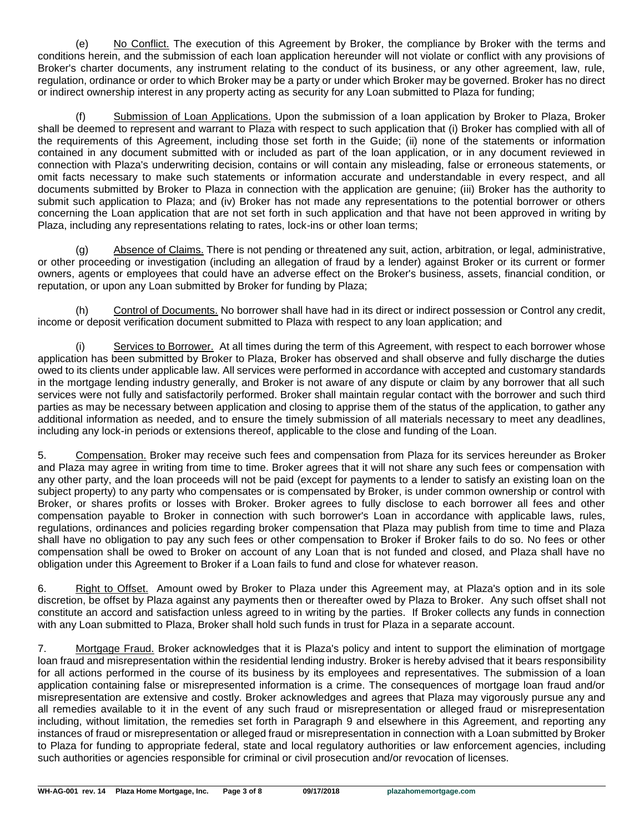(e) No Conflict. The execution of this Agreement by Broker, the compliance by Broker with the terms and conditions herein, and the submission of each loan application hereunder will not violate or conflict with any provisions of Broker's charter documents, any instrument relating to the conduct of its business, or any other agreement, law, rule, regulation, ordinance or order to which Broker may be a party or under which Broker may be governed. Broker has no direct or indirect ownership interest in any property acting as security for any Loan submitted to Plaza for funding;

(f) Submission of Loan Applications. Upon the submission of a loan application by Broker to Plaza, Broker shall be deemed to represent and warrant to Plaza with respect to such application that (i) Broker has complied with all of the requirements of this Agreement, including those set forth in the Guide; (ii) none of the statements or information contained in any document submitted with or included as part of the loan application, or in any document reviewed in connection with Plaza's underwriting decision, contains or will contain any misleading, false or erroneous statements, or omit facts necessary to make such statements or information accurate and understandable in every respect, and all documents submitted by Broker to Plaza in connection with the application are genuine; (iii) Broker has the authority to submit such application to Plaza; and (iv) Broker has not made any representations to the potential borrower or others concerning the Loan application that are not set forth in such application and that have not been approved in writing by Plaza, including any representations relating to rates, lock-ins or other loan terms;

(g) Absence of Claims. There is not pending or threatened any suit, action, arbitration, or legal, administrative, or other proceeding or investigation (including an allegation of fraud by a lender) against Broker or its current or former owners, agents or employees that could have an adverse effect on the Broker's business, assets, financial condition, or reputation, or upon any Loan submitted by Broker for funding by Plaza;

(h) Control of Documents. No borrower shall have had in its direct or indirect possession or Control any credit, income or deposit verification document submitted to Plaza with respect to any loan application; and

Services to Borrower. At all times during the term of this Agreement, with respect to each borrower whose application has been submitted by Broker to Plaza, Broker has observed and shall observe and fully discharge the duties owed to its clients under applicable law. All services were performed in accordance with accepted and customary standards in the mortgage lending industry generally, and Broker is not aware of any dispute or claim by any borrower that all such services were not fully and satisfactorily performed. Broker shall maintain regular contact with the borrower and such third parties as may be necessary between application and closing to apprise them of the status of the application, to gather any additional information as needed, and to ensure the timely submission of all materials necessary to meet any deadlines, including any lock-in periods or extensions thereof, applicable to the close and funding of the Loan.

5. Compensation. Broker may receive such fees and compensation from Plaza for its services hereunder as Broker and Plaza may agree in writing from time to time. Broker agrees that it will not share any such fees or compensation with any other party, and the loan proceeds will not be paid (except for payments to a lender to satisfy an existing loan on the subject property) to any party who compensates or is compensated by Broker, is under common ownership or control with Broker, or shares profits or losses with Broker. Broker agrees to fully disclose to each borrower all fees and other compensation payable to Broker in connection with such borrower's Loan in accordance with applicable laws, rules, regulations, ordinances and policies regarding broker compensation that Plaza may publish from time to time and Plaza shall have no obligation to pay any such fees or other compensation to Broker if Broker fails to do so. No fees or other compensation shall be owed to Broker on account of any Loan that is not funded and closed, and Plaza shall have no obligation under this Agreement to Broker if a Loan fails to fund and close for whatever reason.

6. Right to Offset. Amount owed by Broker to Plaza under this Agreement may, at Plaza's option and in its sole discretion, be offset by Plaza against any payments then or thereafter owed by Plaza to Broker. Any such offset shall not constitute an accord and satisfaction unless agreed to in writing by the parties. If Broker collects any funds in connection with any Loan submitted to Plaza, Broker shall hold such funds in trust for Plaza in a separate account.

7. Mortgage Fraud. Broker acknowledges that it is Plaza's policy and intent to support the elimination of mortgage loan fraud and misrepresentation within the residential lending industry. Broker is hereby advised that it bears responsibility for all actions performed in the course of its business by its employees and representatives. The submission of a loan application containing false or misrepresented information is a crime. The consequences of mortgage loan fraud and/or misrepresentation are extensive and costly. Broker acknowledges and agrees that Plaza may vigorously pursue any and all remedies available to it in the event of any such fraud or misrepresentation or alleged fraud or misrepresentation including, without limitation, the remedies set forth in Paragraph 9 and elsewhere in this Agreement, and reporting any instances of fraud or misrepresentation or alleged fraud or misrepresentation in connection with a Loan submitted by Broker to Plaza for funding to appropriate federal, state and local regulatory authorities or law enforcement agencies, including such authorities or agencies responsible for criminal or civil prosecution and/or revocation of licenses.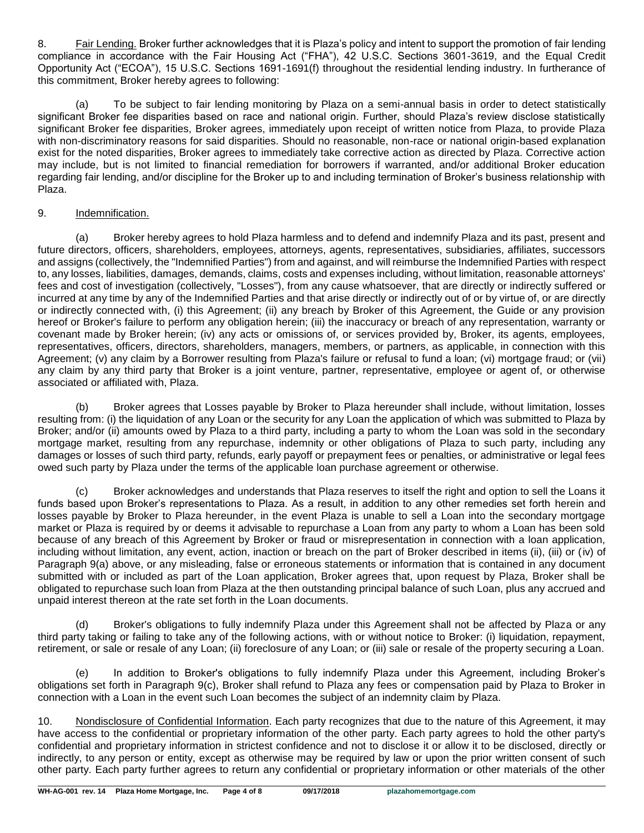8. Fair Lending. Broker further acknowledges that it is Plaza's policy and intent to support the promotion of fair lending compliance in accordance with the Fair Housing Act ("FHA"), 42 U.S.C. Sections 3601-3619, and the Equal Credit Opportunity Act ("ECOA"), 15 U.S.C. Sections 1691-1691(f) throughout the residential lending industry. In furtherance of this commitment, Broker hereby agrees to following:

(a) To be subject to fair lending monitoring by Plaza on a semi-annual basis in order to detect statistically significant Broker fee disparities based on race and national origin. Further, should Plaza's review disclose statistically significant Broker fee disparities, Broker agrees, immediately upon receipt of written notice from Plaza, to provide Plaza with non-discriminatory reasons for said disparities. Should no reasonable, non-race or national origin-based explanation exist for the noted disparities, Broker agrees to immediately take corrective action as directed by Plaza. Corrective action may include, but is not limited to financial remediation for borrowers if warranted, and/or additional Broker education regarding fair lending, and/or discipline for the Broker up to and including termination of Broker's business relationship with Plaza.

# 9. Indemnification.

(a) Broker hereby agrees to hold Plaza harmless and to defend and indemnify Plaza and its past, present and future directors, officers, shareholders, employees, attorneys, agents, representatives, subsidiaries, affiliates, successors and assigns (collectively, the "Indemnified Parties") from and against, and will reimburse the Indemnified Parties with respect to, any losses, liabilities, damages, demands, claims, costs and expenses including, without limitation, reasonable attorneys' fees and cost of investigation (collectively, "Losses"), from any cause whatsoever, that are directly or indirectly suffered or incurred at any time by any of the Indemnified Parties and that arise directly or indirectly out of or by virtue of, or are directly or indirectly connected with, (i) this Agreement; (ii) any breach by Broker of this Agreement, the Guide or any provision hereof or Broker's failure to perform any obligation herein; (iii) the inaccuracy or breach of any representation, warranty or covenant made by Broker herein; (iv) any acts or omissions of, or services provided by, Broker, its agents, employees, representatives, officers, directors, shareholders, managers, members, or partners, as applicable, in connection with this Agreement; (v) any claim by a Borrower resulting from Plaza's failure or refusal to fund a loan; (vi) mortgage fraud; or (vii) any claim by any third party that Broker is a joint venture, partner, representative, employee or agent of, or otherwise associated or affiliated with, Plaza.

(b) Broker agrees that Losses payable by Broker to Plaza hereunder shall include, without limitation, losses resulting from: (i) the liquidation of any Loan or the security for any Loan the application of which was submitted to Plaza by Broker; and/or (ii) amounts owed by Plaza to a third party, including a party to whom the Loan was sold in the secondary mortgage market, resulting from any repurchase, indemnity or other obligations of Plaza to such party, including any damages or losses of such third party, refunds, early payoff or prepayment fees or penalties, or administrative or legal fees owed such party by Plaza under the terms of the applicable loan purchase agreement or otherwise.

(c) Broker acknowledges and understands that Plaza reserves to itself the right and option to sell the Loans it funds based upon Broker's representations to Plaza. As a result, in addition to any other remedies set forth herein and losses payable by Broker to Plaza hereunder, in the event Plaza is unable to sell a Loan into the secondary mortgage market or Plaza is required by or deems it advisable to repurchase a Loan from any party to whom a Loan has been sold because of any breach of this Agreement by Broker or fraud or misrepresentation in connection with a loan application, including without limitation, any event, action, inaction or breach on the part of Broker described in items (ii), (iii) or (iv) of Paragraph 9(a) above, or any misleading, false or erroneous statements or information that is contained in any document submitted with or included as part of the Loan application, Broker agrees that, upon request by Plaza, Broker shall be obligated to repurchase such loan from Plaza at the then outstanding principal balance of such Loan, plus any accrued and unpaid interest thereon at the rate set forth in the Loan documents.

(d) Broker's obligations to fully indemnify Plaza under this Agreement shall not be affected by Plaza or any third party taking or failing to take any of the following actions, with or without notice to Broker: (i) liquidation, repayment, retirement, or sale or resale of any Loan; (ii) foreclosure of any Loan; or (iii) sale or resale of the property securing a Loan.

(e) In addition to Broker's obligations to fully indemnify Plaza under this Agreement, including Broker's obligations set forth in Paragraph 9(c), Broker shall refund to Plaza any fees or compensation paid by Plaza to Broker in connection with a Loan in the event such Loan becomes the subject of an indemnity claim by Plaza.

10. Nondisclosure of Confidential Information. Each party recognizes that due to the nature of this Agreement, it may have access to the confidential or proprietary information of the other party. Each party agrees to hold the other party's confidential and proprietary information in strictest confidence and not to disclose it or allow it to be disclosed, directly or indirectly, to any person or entity, except as otherwise may be required by law or upon the prior written consent of such other party. Each party further agrees to return any confidential or proprietary information or other materials of the other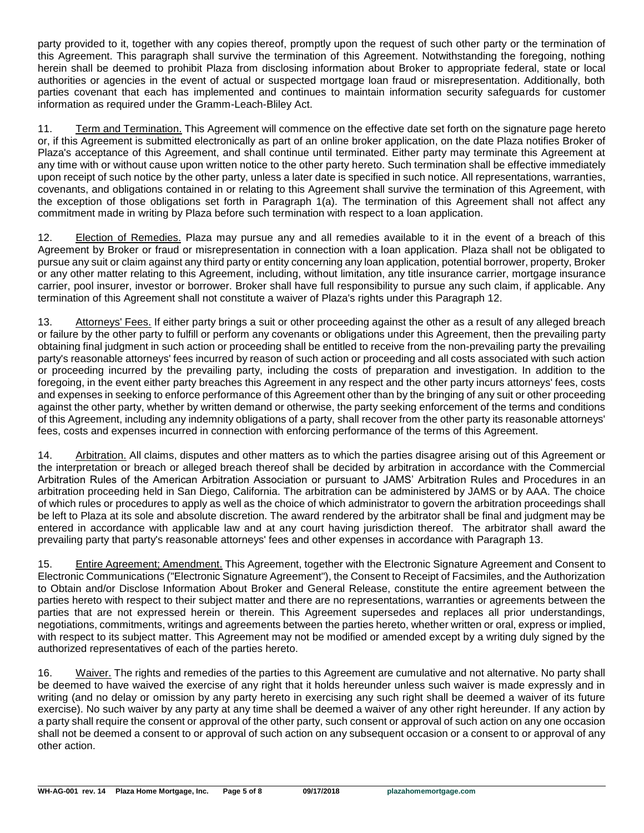party provided to it, together with any copies thereof, promptly upon the request of such other party or the termination of this Agreement. This paragraph shall survive the termination of this Agreement. Notwithstanding the foregoing, nothing herein shall be deemed to prohibit Plaza from disclosing information about Broker to appropriate federal, state or local authorities or agencies in the event of actual or suspected mortgage loan fraud or misrepresentation. Additionally, both parties covenant that each has implemented and continues to maintain information security safeguards for customer information as required under the Gramm-Leach-Bliley Act.

11. Term and Termination. This Agreement will commence on the effective date set forth on the signature page hereto or, if this Agreement is submitted electronically as part of an online broker application, on the date Plaza notifies Broker of Plaza's acceptance of this Agreement, and shall continue until terminated. Either party may terminate this Agreement at any time with or without cause upon written notice to the other party hereto. Such termination shall be effective immediately upon receipt of such notice by the other party, unless a later date is specified in such notice. All representations, warranties, covenants, and obligations contained in or relating to this Agreement shall survive the termination of this Agreement, with the exception of those obligations set forth in Paragraph 1(a). The termination of this Agreement shall not affect any commitment made in writing by Plaza before such termination with respect to a loan application.

12. Election of Remedies. Plaza may pursue any and all remedies available to it in the event of a breach of this Agreement by Broker or fraud or misrepresentation in connection with a loan application. Plaza shall not be obligated to pursue any suit or claim against any third party or entity concerning any loan application, potential borrower, property, Broker or any other matter relating to this Agreement, including, without limitation, any title insurance carrier, mortgage insurance carrier, pool insurer, investor or borrower. Broker shall have full responsibility to pursue any such claim, if applicable. Any termination of this Agreement shall not constitute a waiver of Plaza's rights under this Paragraph 12.

13. Attorneys' Fees. If either party brings a suit or other proceeding against the other as a result of any alleged breach or failure by the other party to fulfill or perform any covenants or obligations under this Agreement, then the prevailing party obtaining final judgment in such action or proceeding shall be entitled to receive from the non-prevailing party the prevailing party's reasonable attorneys' fees incurred by reason of such action or proceeding and all costs associated with such action or proceeding incurred by the prevailing party, including the costs of preparation and investigation. In addition to the foregoing, in the event either party breaches this Agreement in any respect and the other party incurs attorneys' fees, costs and expenses in seeking to enforce performance of this Agreement other than by the bringing of any suit or other proceeding against the other party, whether by written demand or otherwise, the party seeking enforcement of the terms and conditions of this Agreement, including any indemnity obligations of a party, shall recover from the other party its reasonable attorneys' fees, costs and expenses incurred in connection with enforcing performance of the terms of this Agreement.

14. Arbitration. All claims, disputes and other matters as to which the parties disagree arising out of this Agreement or the interpretation or breach or alleged breach thereof shall be decided by arbitration in accordance with the Commercial Arbitration Rules of the American Arbitration Association or pursuant to JAMS' Arbitration Rules and Procedures in an arbitration proceeding held in San Diego, California. The arbitration can be administered by JAMS or by AAA. The choice of which rules or procedures to apply as well as the choice of which administrator to govern the arbitration proceedings shall be left to Plaza at its sole and absolute discretion. The award rendered by the arbitrator shall be final and judgment may be entered in accordance with applicable law and at any court having jurisdiction thereof. The arbitrator shall award the prevailing party that party's reasonable attorneys' fees and other expenses in accordance with Paragraph 13.

15. Entire Agreement; Amendment. This Agreement, together with the Electronic Signature Agreement and Consent to Electronic Communications ("Electronic Signature Agreement"), the Consent to Receipt of Facsimiles, and the Authorization to Obtain and/or Disclose Information About Broker and General Release, constitute the entire agreement between the parties hereto with respect to their subject matter and there are no representations, warranties or agreements between the parties that are not expressed herein or therein. This Agreement supersedes and replaces all prior understandings, negotiations, commitments, writings and agreements between the parties hereto, whether written or oral, express or implied, with respect to its subject matter. This Agreement may not be modified or amended except by a writing duly signed by the authorized representatives of each of the parties hereto.

16. Waiver. The rights and remedies of the parties to this Agreement are cumulative and not alternative. No party shall be deemed to have waived the exercise of any right that it holds hereunder unless such waiver is made expressly and in writing (and no delay or omission by any party hereto in exercising any such right shall be deemed a waiver of its future exercise). No such waiver by any party at any time shall be deemed a waiver of any other right hereunder. If any action by a party shall require the consent or approval of the other party, such consent or approval of such action on any one occasion shall not be deemed a consent to or approval of such action on any subsequent occasion or a consent to or approval of any other action.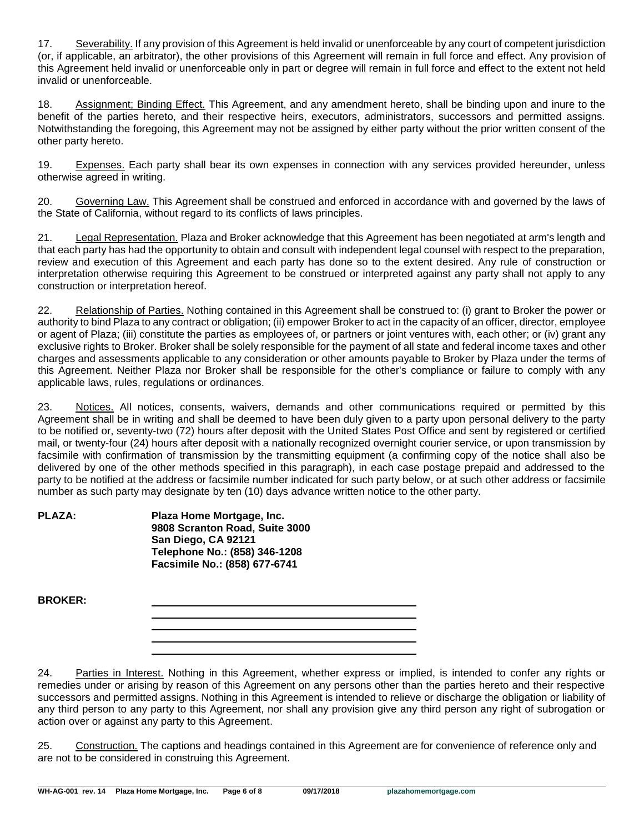17. Severability. If any provision of this Agreement is held invalid or unenforceable by any court of competent jurisdiction (or, if applicable, an arbitrator), the other provisions of this Agreement will remain in full force and effect. Any provision of this Agreement held invalid or unenforceable only in part or degree will remain in full force and effect to the extent not held invalid or unenforceable.

18. Assignment; Binding Effect. This Agreement, and any amendment hereto, shall be binding upon and inure to the benefit of the parties hereto, and their respective heirs, executors, administrators, successors and permitted assigns. Notwithstanding the foregoing, this Agreement may not be assigned by either party without the prior written consent of the other party hereto.

19. Expenses. Each party shall bear its own expenses in connection with any services provided hereunder, unless otherwise agreed in writing.

20. Governing Law. This Agreement shall be construed and enforced in accordance with and governed by the laws of the State of California, without regard to its conflicts of laws principles.

21. Legal Representation. Plaza and Broker acknowledge that this Agreement has been negotiated at arm's length and that each party has had the opportunity to obtain and consult with independent legal counsel with respect to the preparation, review and execution of this Agreement and each party has done so to the extent desired. Any rule of construction or interpretation otherwise requiring this Agreement to be construed or interpreted against any party shall not apply to any construction or interpretation hereof.

22. Relationship of Parties. Nothing contained in this Agreement shall be construed to: (i) grant to Broker the power or authority to bind Plaza to any contract or obligation; (ii) empower Broker to act in the capacity of an officer, director, employee or agent of Plaza; (iii) constitute the parties as employees of, or partners or joint ventures with, each other; or (iv) grant any exclusive rights to Broker. Broker shall be solely responsible for the payment of all state and federal income taxes and other charges and assessments applicable to any consideration or other amounts payable to Broker by Plaza under the terms of this Agreement. Neither Plaza nor Broker shall be responsible for the other's compliance or failure to comply with any applicable laws, rules, regulations or ordinances.

23. Notices. All notices, consents, waivers, demands and other communications required or permitted by this Agreement shall be in writing and shall be deemed to have been duly given to a party upon personal delivery to the party to be notified or, seventy-two (72) hours after deposit with the United States Post Office and sent by registered or certified mail, or twenty-four (24) hours after deposit with a nationally recognized overnight courier service, or upon transmission by facsimile with confirmation of transmission by the transmitting equipment (a confirming copy of the notice shall also be delivered by one of the other methods specified in this paragraph), in each case postage prepaid and addressed to the party to be notified at the address or facsimile number indicated for such party below, or at such other address or facsimile number as such party may designate by ten (10) days advance written notice to the other party.

| <b>PLAZA:</b> | Plaza Home Mortgage, Inc.      |  |
|---------------|--------------------------------|--|
|               | 9808 Scranton Road, Suite 3000 |  |
|               | San Diego, CA 92121            |  |
|               | Telephone No.: (858) 346-1208  |  |
|               | Facsimile No.: (858) 677-6741  |  |

24. Parties in Interest. Nothing in this Agreement, whether express or implied, is intended to confer any rights or remedies under or arising by reason of this Agreement on any persons other than the parties hereto and their respective successors and permitted assigns. Nothing in this Agreement is intended to relieve or discharge the obligation or liability of any third person to any party to this Agreement, nor shall any provision give any third person any right of subrogation or action over or against any party to this Agreement.

25. Construction. The captions and headings contained in this Agreement are for convenience of reference only and are not to be considered in construing this Agreement.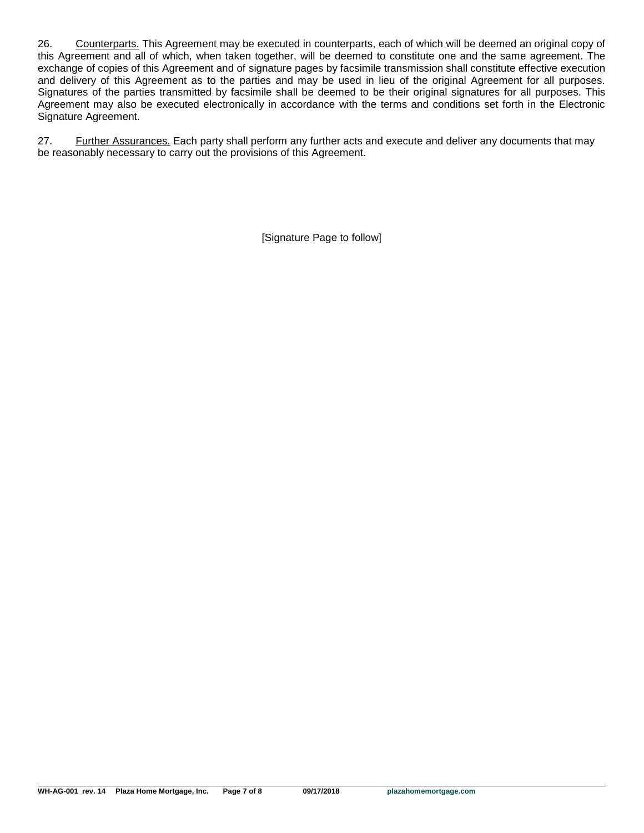26. Counterparts. This Agreement may be executed in counterparts, each of which will be deemed an original copy of this Agreement and all of which, when taken together, will be deemed to constitute one and the same agreement. The exchange of copies of this Agreement and of signature pages by facsimile transmission shall constitute effective execution and delivery of this Agreement as to the parties and may be used in lieu of the original Agreement for all purposes. Signatures of the parties transmitted by facsimile shall be deemed to be their original signatures for all purposes. This Agreement may also be executed electronically in accordance with the terms and conditions set forth in the Electronic Signature Agreement.

27. Further Assurances. Each party shall perform any further acts and execute and deliver any documents that may be reasonably necessary to carry out the provisions of this Agreement.

[Signature Page to follow]